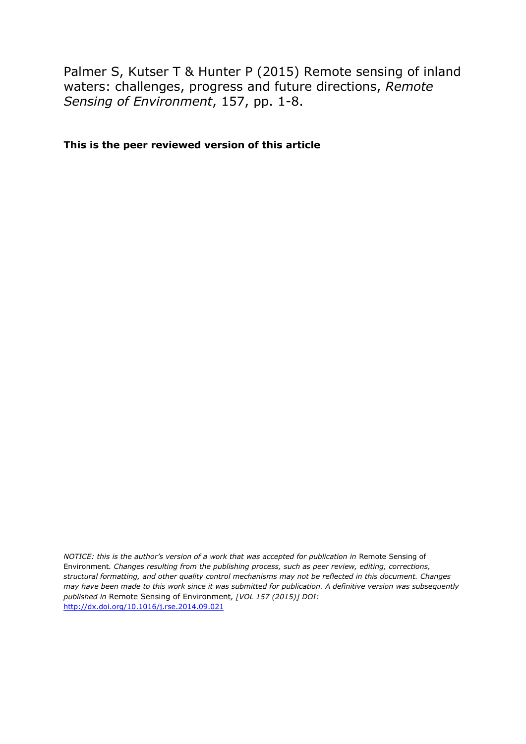Palmer S, Kutser T & Hunter P (2015) Remote sensing of inland waters: challenges, progress and future directions, *Remote Sensing of Environment*, 157, pp. 1-8.

**This is the peer reviewed version of this article**

*NOTICE: this is the author's version of a work that was accepted for publication in Remote Sensing of* Environment*. Changes resulting from the publishing process, such as peer review, editing, corrections, structural formatting, and other quality control mechanisms may not be reflected in this document. Changes may have been made to this work since it was submitted for publication. A definitive version was subsequently published in* Remote Sensing of Environment*, [VOL 157 (2015)] DOI:* <http://dx.doi.org/10.1016/j.rse.2014.09.021>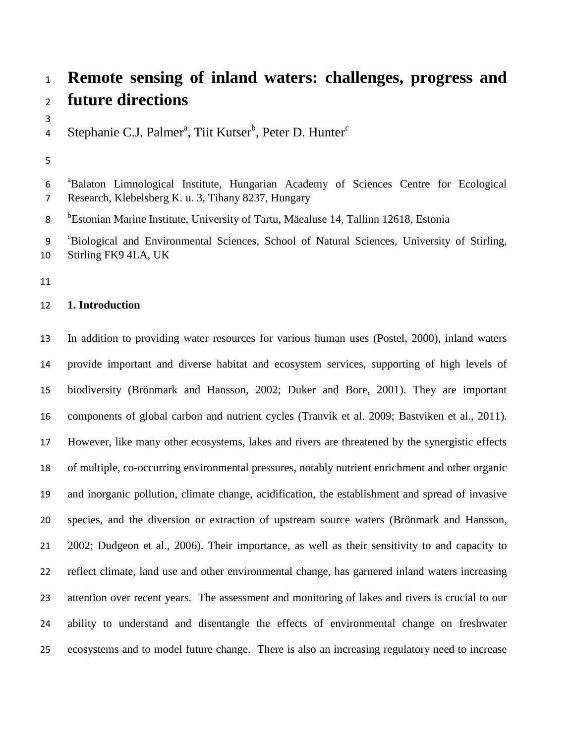# **Remote sensing of inland waters: challenges, progress and future directions**

Stephanie C.J. Palmer<sup>a</sup>, Tiit Kutser<sup>b</sup>, Peter D. Hunter<sup>c</sup> 

6 <sup>a</sup>Balaton Limnological Institute, Hungarian Academy of Sciences Centre for Ecological Research, Klebelsberg K. u. 3, Tihany 8237, Hungary

8 <sup>b</sup>Estonian Marine Institute, University of Tartu, Mäealuse 14, Tallinn 12618, Estonia

9 <sup>c</sup>Biological and Environmental Sciences, School of Natural Sciences, University of Stirling, Stirling FK9 4LA, UK

# **1. Introduction**

 In addition to providing water resources for various human uses (Postel, 2000), inland waters provide important and diverse habitat and ecosystem services, supporting of high levels of biodiversity (Brönmark and Hansson, 2002; Duker and Bore, 2001). They are important components of global carbon and nutrient cycles (Tranvik et al. 2009; Bastviken et al., 2011). However, like many other ecosystems, lakes and rivers are threatened by the synergistic effects of multiple, co-occurring environmental pressures, notably nutrient enrichment and other organic and inorganic pollution, climate change, acidification, the establishment and spread of invasive species, and the diversion or extraction of upstream source waters (Brönmark and Hansson, 2002; Dudgeon et al., 2006). Their importance, as well as their sensitivity to and capacity to reflect climate, land use and other environmental change, has garnered inland waters increasing attention over recent years. The assessment and monitoring of lakes and rivers is crucial to our ability to understand and disentangle the effects of environmental change on freshwater ecosystems and to model future change. There is also an increasing regulatory need to increase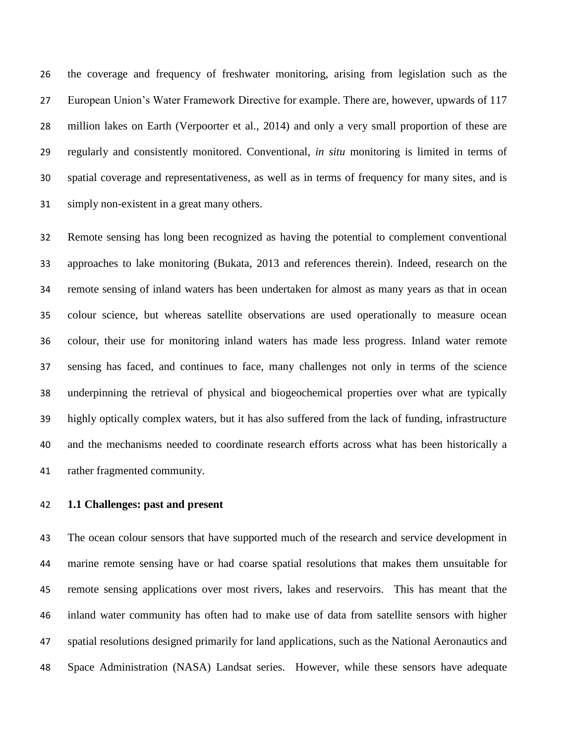the coverage and frequency of freshwater monitoring, arising from legislation such as the European Union's Water Framework Directive for example. There are, however, upwards of 117 million lakes on Earth (Verpoorter et al., 2014) and only a very small proportion of these are regularly and consistently monitored. Conventional, *in situ* monitoring is limited in terms of spatial coverage and representativeness, as well as in terms of frequency for many sites, and is simply non-existent in a great many others.

 Remote sensing has long been recognized as having the potential to complement conventional approaches to lake monitoring (Bukata, 2013 and references therein). Indeed, research on the remote sensing of inland waters has been undertaken for almost as many years as that in ocean colour science, but whereas satellite observations are used operationally to measure ocean colour, their use for monitoring inland waters has made less progress. Inland water remote sensing has faced, and continues to face, many challenges not only in terms of the science underpinning the retrieval of physical and biogeochemical properties over what are typically highly optically complex waters, but it has also suffered from the lack of funding, infrastructure and the mechanisms needed to coordinate research efforts across what has been historically a rather fragmented community.

## **1.1 Challenges: past and present**

 The ocean colour sensors that have supported much of the research and service development in marine remote sensing have or had coarse spatial resolutions that makes them unsuitable for remote sensing applications over most rivers, lakes and reservoirs. This has meant that the inland water community has often had to make use of data from satellite sensors with higher spatial resolutions designed primarily for land applications, such as the National Aeronautics and Space Administration (NASA) Landsat series. However, while these sensors have adequate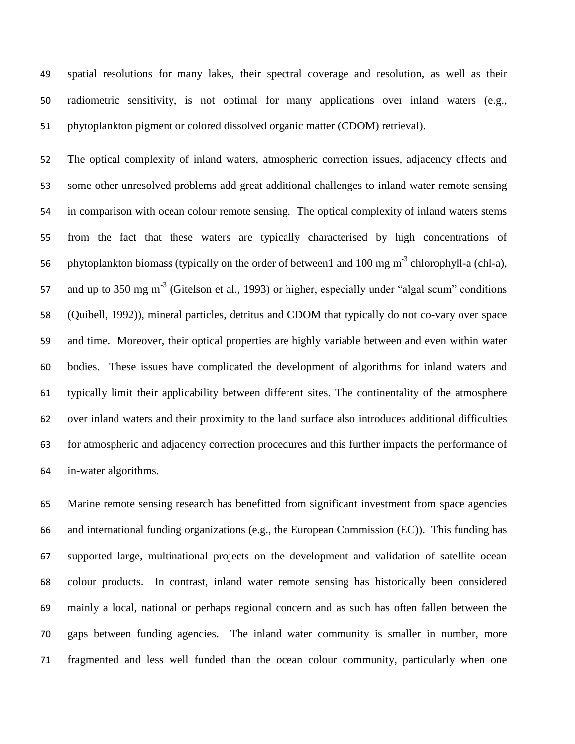spatial resolutions for many lakes, their spectral coverage and resolution, as well as their radiometric sensitivity, is not optimal for many applications over inland waters (e.g., phytoplankton pigment or colored dissolved organic matter (CDOM) retrieval).

 The optical complexity of inland waters, atmospheric correction issues, adjacency effects and some other unresolved problems add great additional challenges to inland water remote sensing in comparison with ocean colour remote sensing. The optical complexity of inland waters stems from the fact that these waters are typically characterised by high concentrations of 56 phytoplankton biomass (typically on the order of between1 and  $100 \text{ mg m}^{-3}$  chlorophyll-a (chl-a), 57 and up to 350 mg m<sup>-3</sup> (Gitelson et al., 1993) or higher, especially under "algal scum" conditions (Quibell, 1992)), mineral particles, detritus and CDOM that typically do not co-vary over space and time. Moreover, their optical properties are highly variable between and even within water bodies. These issues have complicated the development of algorithms for inland waters and typically limit their applicability between different sites. The continentality of the atmosphere over inland waters and their proximity to the land surface also introduces additional difficulties for atmospheric and adjacency correction procedures and this further impacts the performance of in-water algorithms.

 Marine remote sensing research has benefitted from significant investment from space agencies and international funding organizations (e.g., the European Commission (EC)). This funding has supported large, multinational projects on the development and validation of satellite ocean colour products. In contrast, inland water remote sensing has historically been considered mainly a local, national or perhaps regional concern and as such has often fallen between the gaps between funding agencies. The inland water community is smaller in number, more fragmented and less well funded than the ocean colour community, particularly when one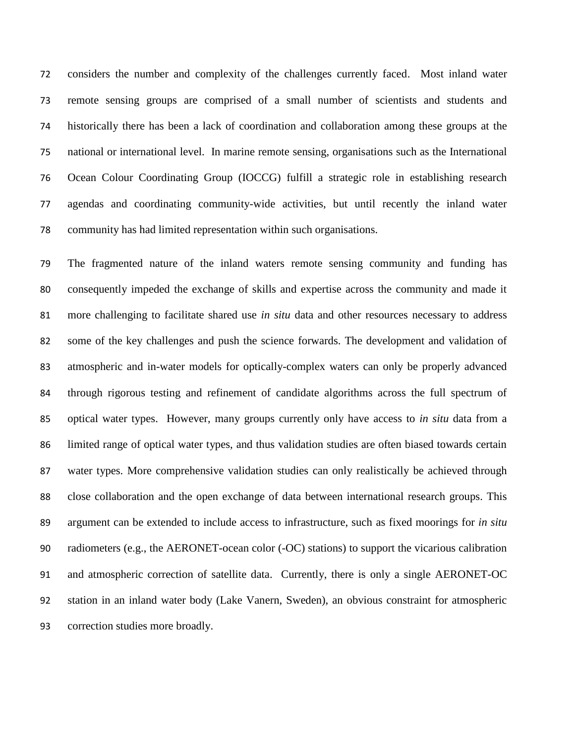considers the number and complexity of the challenges currently faced. Most inland water remote sensing groups are comprised of a small number of scientists and students and historically there has been a lack of coordination and collaboration among these groups at the national or international level. In marine remote sensing, organisations such as the International Ocean Colour Coordinating Group (IOCCG) fulfill a strategic role in establishing research agendas and coordinating community-wide activities, but until recently the inland water community has had limited representation within such organisations.

 The fragmented nature of the inland waters remote sensing community and funding has consequently impeded the exchange of skills and expertise across the community and made it more challenging to facilitate shared use *in situ* data and other resources necessary to address some of the key challenges and push the science forwards. The development and validation of atmospheric and in-water models for optically-complex waters can only be properly advanced through rigorous testing and refinement of candidate algorithms across the full spectrum of optical water types. However, many groups currently only have access to *in situ* data from a limited range of optical water types, and thus validation studies are often biased towards certain water types. More comprehensive validation studies can only realistically be achieved through close collaboration and the open exchange of data between international research groups. This argument can be extended to include access to infrastructure, such as fixed moorings for *in situ* radiometers (e.g., the AERONET-ocean color (-OC) stations) to support the vicarious calibration and atmospheric correction of satellite data. Currently, there is only a single AERONET-OC station in an inland water body (Lake Vanern, Sweden), an obvious constraint for atmospheric correction studies more broadly.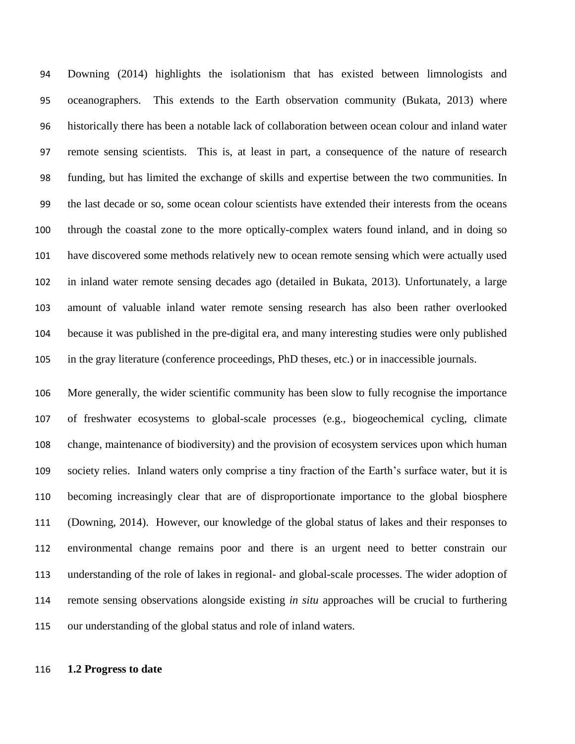Downing (2014) highlights the isolationism that has existed between limnologists and oceanographers. This extends to the Earth observation community (Bukata, 2013) where historically there has been a notable lack of collaboration between ocean colour and inland water remote sensing scientists. This is, at least in part, a consequence of the nature of research funding, but has limited the exchange of skills and expertise between the two communities. In the last decade or so, some ocean colour scientists have extended their interests from the oceans through the coastal zone to the more optically-complex waters found inland, and in doing so have discovered some methods relatively new to ocean remote sensing which were actually used in inland water remote sensing decades ago (detailed in Bukata, 2013). Unfortunately, a large amount of valuable inland water remote sensing research has also been rather overlooked because it was published in the pre-digital era, and many interesting studies were only published in the gray literature (conference proceedings, PhD theses, etc.) or in inaccessible journals.

 More generally, the wider scientific community has been slow to fully recognise the importance of freshwater ecosystems to global-scale processes (e.g., biogeochemical cycling, climate change, maintenance of biodiversity) and the provision of ecosystem services upon which human society relies. Inland waters only comprise a tiny fraction of the Earth's surface water, but it is becoming increasingly clear that are of disproportionate importance to the global biosphere (Downing, 2014). However, our knowledge of the global status of lakes and their responses to environmental change remains poor and there is an urgent need to better constrain our understanding of the role of lakes in regional- and global-scale processes. The wider adoption of remote sensing observations alongside existing *in situ* approaches will be crucial to furthering our understanding of the global status and role of inland waters.

#### **1.2 Progress to date**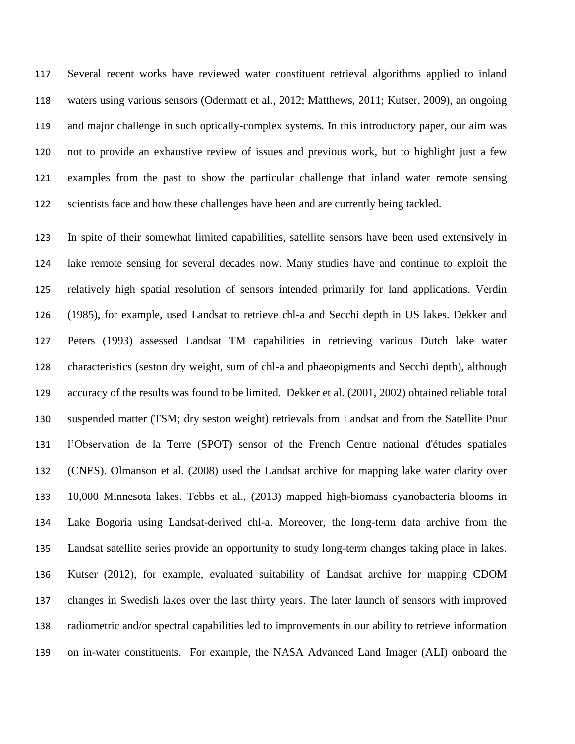Several recent works have reviewed water constituent retrieval algorithms applied to inland waters using various sensors (Odermatt et al., 2012; Matthews, 2011; Kutser, 2009), an ongoing and major challenge in such optically-complex systems. In this introductory paper, our aim was not to provide an exhaustive review of issues and previous work, but to highlight just a few examples from the past to show the particular challenge that inland water remote sensing 122 scientists face and how these challenges have been and are currently being tackled.

 In spite of their somewhat limited capabilities, satellite sensors have been used extensively in lake remote sensing for several decades now. Many studies have and continue to exploit the relatively high spatial resolution of sensors intended primarily for land applications. Verdin (1985), for example, used Landsat to retrieve chl-a and Secchi depth in US lakes. Dekker and Peters (1993) assessed Landsat TM capabilities in retrieving various Dutch lake water characteristics (seston dry weight, sum of chl-a and phaeopigments and Secchi depth), although accuracy of the results was found to be limited. Dekker et al. (2001, 2002) obtained reliable total suspended matter (TSM; dry seston weight) retrievals from Landsat and from the Satellite Pour l'Observation de la Terre (SPOT) sensor of the French Centre national d'études spatiales (CNES). Olmanson et al. (2008) used the Landsat archive for mapping lake water clarity over 10,000 Minnesota lakes. Tebbs et al., (2013) mapped high-biomass cyanobacteria blooms in Lake Bogoria using Landsat-derived chl-a. Moreover, the long-term data archive from the Landsat satellite series provide an opportunity to study long-term changes taking place in lakes. Kutser (2012), for example, evaluated suitability of Landsat archive for mapping CDOM changes in Swedish lakes over the last thirty years. The later launch of sensors with improved radiometric and/or spectral capabilities led to improvements in our ability to retrieve information on in-water constituents. For example, the NASA Advanced Land Imager (ALI) onboard the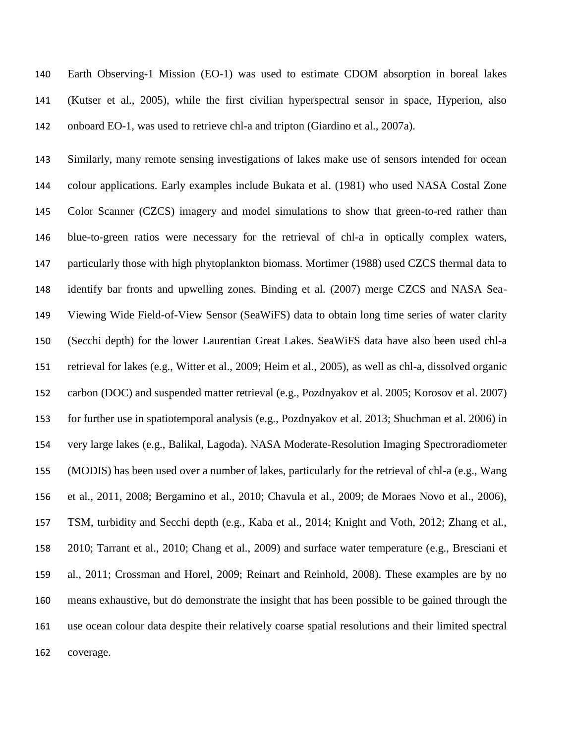Earth Observing-1 Mission (EO-1) was used to estimate CDOM absorption in boreal lakes (Kutser et al., 2005), while the first civilian hyperspectral sensor in space, Hyperion, also onboard EO-1, was used to retrieve chl-a and tripton (Giardino et al., 2007a).

 Similarly, many remote sensing investigations of lakes make use of sensors intended for ocean colour applications. Early examples include Bukata et al. (1981) who used NASA Costal Zone Color Scanner (CZCS) imagery and model simulations to show that green-to-red rather than blue-to-green ratios were necessary for the retrieval of chl-a in optically complex waters, particularly those with high phytoplankton biomass. Mortimer (1988) used CZCS thermal data to identify bar fronts and upwelling zones. Binding et al. (2007) merge CZCS and NASA Sea- Viewing Wide Field-of-View Sensor (SeaWiFS) data to obtain long time series of water clarity (Secchi depth) for the lower Laurentian Great Lakes. SeaWiFS data have also been used chl-a retrieval for lakes (e.g., Witter et al., 2009; Heim et al., 2005), as well as chl-a, dissolved organic carbon (DOC) and suspended matter retrieval (e.g., Pozdnyakov et al. 2005; Korosov et al. 2007) for further use in spatiotemporal analysis (e.g., Pozdnyakov et al. 2013; Shuchman et al. 2006) in very large lakes (e.g., Balikal, Lagoda). NASA Moderate-Resolution Imaging Spectroradiometer (MODIS) has been used over a number of lakes, particularly for the retrieval of chl-a (e.g., Wang et al., 2011, 2008; Bergamino et al., 2010; Chavula et al., 2009; de Moraes Novo et al., 2006), TSM, turbidity and Secchi depth (e.g., Kaba et al., 2014; Knight and Voth, 2012; Zhang et al., 2010; Tarrant et al., 2010; Chang et al., 2009) and surface water temperature (e.g., Bresciani et al., 2011; Crossman and Horel, 2009; Reinart and Reinhold, 2008). These examples are by no means exhaustive, but do demonstrate the insight that has been possible to be gained through the use ocean colour data despite their relatively coarse spatial resolutions and their limited spectral coverage.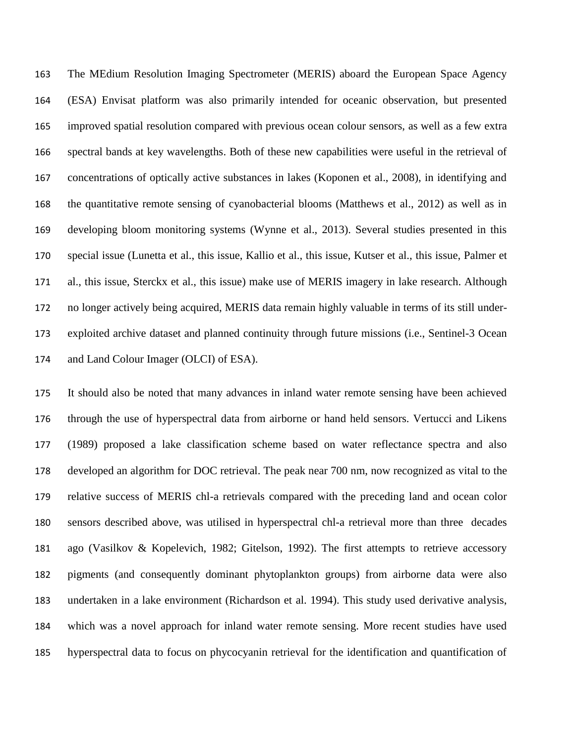The MEdium Resolution Imaging Spectrometer (MERIS) aboard the European Space Agency (ESA) Envisat platform was also primarily intended for oceanic observation, but presented improved spatial resolution compared with previous ocean colour sensors, as well as a few extra spectral bands at key wavelengths. Both of these new capabilities were useful in the retrieval of concentrations of optically active substances in lakes (Koponen et al., 2008), in identifying and the quantitative remote sensing of cyanobacterial blooms (Matthews et al., 2012) as well as in developing bloom monitoring systems (Wynne et al., 2013). Several studies presented in this special issue (Lunetta et al., this issue, Kallio et al., this issue, Kutser et al., this issue, Palmer et al., this issue, Sterckx et al., this issue) make use of MERIS imagery in lake research. Although no longer actively being acquired, MERIS data remain highly valuable in terms of its still under- exploited archive dataset and planned continuity through future missions (i.e., Sentinel-3 Ocean and Land Colour Imager (OLCI) of ESA).

 It should also be noted that many advances in inland water remote sensing have been achieved through the use of hyperspectral data from airborne or hand held sensors. Vertucci and Likens (1989) proposed a lake classification scheme based on water reflectance spectra and also developed an algorithm for DOC retrieval. The peak near 700 nm, now recognized as vital to the relative success of MERIS chl-a retrievals compared with the preceding land and ocean color sensors described above, was utilised in hyperspectral chl-a retrieval more than three decades ago (Vasilkov & Kopelevich, 1982; Gitelson, 1992). The first attempts to retrieve accessory pigments (and consequently dominant phytoplankton groups) from airborne data were also undertaken in a lake environment (Richardson et al. 1994). This study used derivative analysis, which was a novel approach for inland water remote sensing. More recent studies have used hyperspectral data to focus on phycocyanin retrieval for the identification and quantification of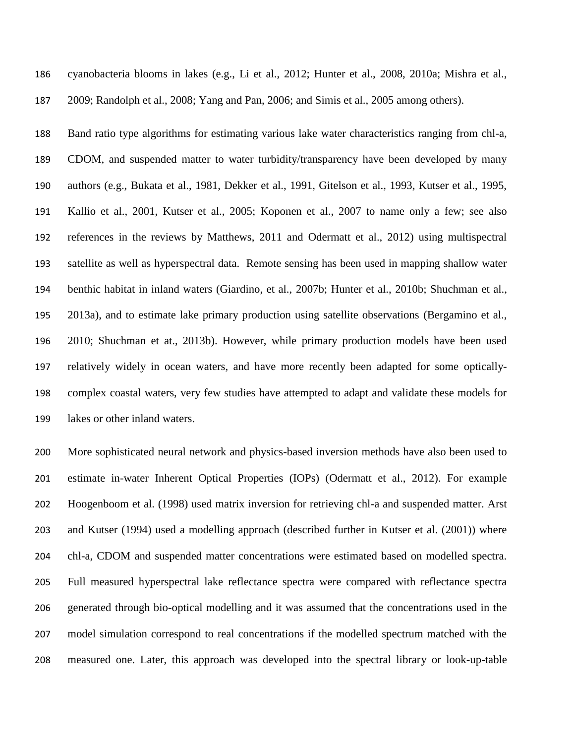| 186 | cyanobacteria biooms in lakes (e.g., Li et al., 2012; Hunter et al., 2008, 2010a; Mishra et al.,     |
|-----|------------------------------------------------------------------------------------------------------|
| 187 | 2009; Randolph et al., 2008; Yang and Pan, 2006; and Simis et al., 2005 among others).               |
| 188 | Band ratio type algorithms for estimating various lake water characteristics ranging from chl-a,     |
| 189 | CDOM, and suspended matter to water turbidity/transparency have been developed by many               |
| 190 | authors (e.g., Bukata et al., 1981, Dekker et al., 1991, Gitelson et al., 1993, Kutser et al., 1995, |
| 191 | Kallio et al., 2001, Kutser et al., 2005; Koponen et al., 2007 to name only a few; see also          |
| 192 | references in the reviews by Matthews, 2011 and Odermatt et al., 2012) using multispectral           |
| 193 | satellite as well as hyperspectral data. Remote sensing has been used in mapping shallow water       |
| 194 | benthic habitat in inland waters (Giardino, et al., 2007b; Hunter et al., 2010b; Shuchman et al.,    |
| 195 | 2013a), and to estimate lake primary production using satellite observations (Bergamino et al.,      |
| 196 | 2010; Shuchman et at., 2013b). However, while primary production models have been used               |
| 197 | relatively widely in ocean waters, and have more recently been adapted for some optically-           |
| 198 | complex coastal waters, very few studies have attempted to adapt and validate these models for       |
|     |                                                                                                      |

cyanobacteria blooms in late  $\frac{1}{2}$  et al., 2012; Hunter et al., 2008, 2010a; Mishra et al., 2008, 2010a; Mishra et al., 2008, 2010a; Mishra et al., 2008, 2010a; Mishra et al., 2010a; Mishra et al., 2010a; Mishra

lakes or other inland waters.

 More sophisticated neural network and physics-based inversion methods have also been used to estimate in-water Inherent Optical Properties (IOPs) (Odermatt et al., 2012). For example Hoogenboom et al. (1998) used matrix inversion for retrieving chl-a and suspended matter. Arst and Kutser (1994) used a modelling approach (described further in Kutser et al. (2001)) where chl-a, CDOM and suspended matter concentrations were estimated based on modelled spectra. Full measured hyperspectral lake reflectance spectra were compared with reflectance spectra generated through bio-optical modelling and it was assumed that the concentrations used in the model simulation correspond to real concentrations if the modelled spectrum matched with the measured one. Later, this approach was developed into the spectral library or look-up-table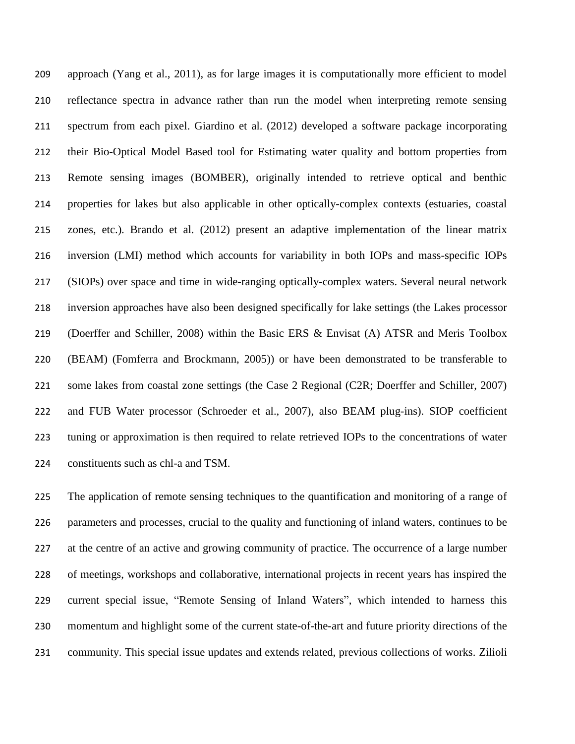approach (Yang et al., 2011), as for large images it is computationally more efficient to model reflectance spectra in advance rather than run the model when interpreting remote sensing spectrum from each pixel. Giardino et al. (2012) developed a software package incorporating their Bio-Optical Model Based tool for Estimating water quality and bottom properties from Remote sensing images (BOMBER), originally intended to retrieve optical and benthic properties for lakes but also applicable in other optically-complex contexts (estuaries, coastal zones, etc.). Brando et al. (2012) present an adaptive implementation of the linear matrix inversion (LMI) method which accounts for variability in both IOPs and mass-specific IOPs (SIOPs) over space and time in wide-ranging optically-complex waters. Several neural network inversion approaches have also been designed specifically for lake settings (the Lakes processor (Doerffer and Schiller, 2008) within the Basic ERS & Envisat (A) ATSR and Meris Toolbox (BEAM) (Fomferra and Brockmann, 2005)) or have been demonstrated to be transferable to some lakes from coastal zone settings (the Case 2 Regional (C2R; Doerffer and Schiller, 2007) and FUB Water processor (Schroeder et al., 2007), also BEAM plug-ins). SIOP coefficient tuning or approximation is then required to relate retrieved IOPs to the concentrations of water constituents such as chl-a and TSM.

 The application of remote sensing techniques to the quantification and monitoring of a range of parameters and processes, crucial to the quality and functioning of inland waters, continues to be at the centre of an active and growing community of practice. The occurrence of a large number of meetings, workshops and collaborative, international projects in recent years has inspired the current special issue, "Remote Sensing of Inland Waters", which intended to harness this momentum and highlight some of the current state-of-the-art and future priority directions of the community. This special issue updates and extends related, previous collections of works. Zilioli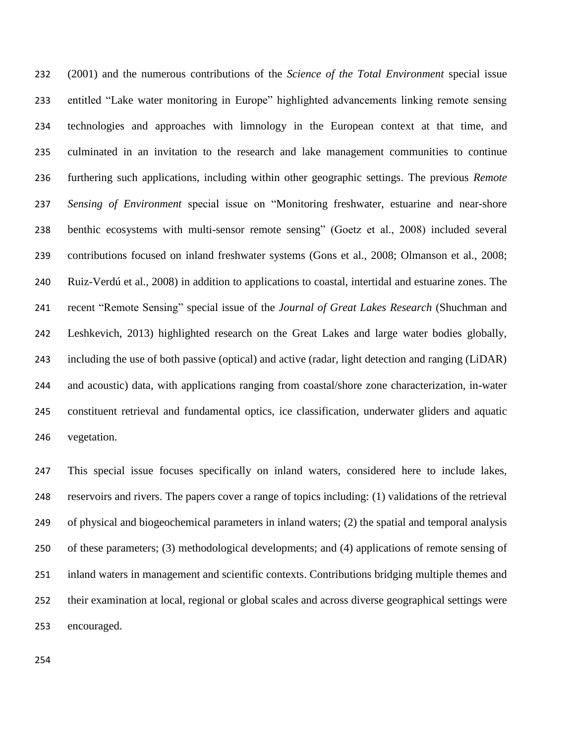(2001) and the numerous contributions of the *Science of the Total Environment* special issue entitled "Lake water monitoring in Europe" highlighted advancements linking remote sensing technologies and approaches with limnology in the European context at that time, and culminated in an invitation to the research and lake management communities to continue furthering such applications, including within other geographic settings. The previous *Remote Sensing of Environment* special issue on "Monitoring freshwater, estuarine and near-shore benthic ecosystems with multi-sensor remote sensing" (Goetz et al., 2008) included several contributions focused on inland freshwater systems (Gons et al., 2008; Olmanson et al., 2008; Ruiz-Verdú et al., 2008) in addition to applications to coastal, intertidal and estuarine zones. The recent "Remote Sensing" special issue of the *Journal of Great Lakes Research* (Shuchman and Leshkevich, 2013) highlighted research on the Great Lakes and large water bodies globally, including the use of both passive (optical) and active (radar, light detection and ranging (LiDAR) and acoustic) data, with applications ranging from coastal/shore zone characterization, in-water constituent retrieval and fundamental optics, ice classification, underwater gliders and aquatic vegetation.

 This special issue focuses specifically on inland waters, considered here to include lakes, reservoirs and rivers. The papers cover a range of topics including: (1) validations of the retrieval of physical and biogeochemical parameters in inland waters; (2) the spatial and temporal analysis of these parameters; (3) methodological developments; and (4) applications of remote sensing of inland waters in management and scientific contexts. Contributions bridging multiple themes and their examination at local, regional or global scales and across diverse geographical settings were encouraged.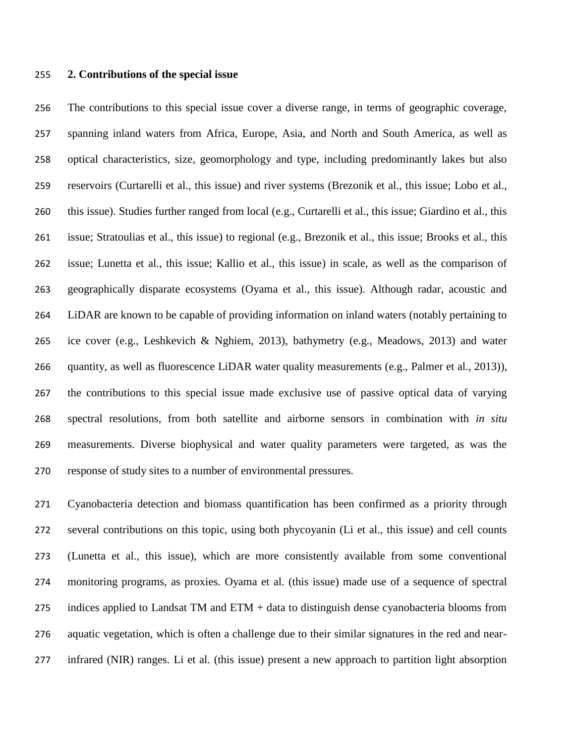#### **2. Contributions of the special issue**

 The contributions to this special issue cover a diverse range, in terms of geographic coverage, spanning inland waters from Africa, Europe, Asia, and North and South America, as well as optical characteristics, size, geomorphology and type, including predominantly lakes but also reservoirs (Curtarelli et al., this issue) and river systems (Brezonik et al., this issue; Lobo et al., this issue). Studies further ranged from local (e.g., Curtarelli et al., this issue; Giardino et al., this issue; Stratoulias et al., this issue) to regional (e.g., Brezonik et al., this issue; Brooks et al., this issue; Lunetta et al., this issue; Kallio et al., this issue) in scale, as well as the comparison of geographically disparate ecosystems (Oyama et al., this issue). Although radar, acoustic and LiDAR are known to be capable of providing information on inland waters (notably pertaining to ice cover (e.g., Leshkevich & Nghiem, 2013), bathymetry (e.g., Meadows, 2013) and water quantity, as well as fluorescence LiDAR water quality measurements (e.g., Palmer et al., 2013)), the contributions to this special issue made exclusive use of passive optical data of varying spectral resolutions, from both satellite and airborne sensors in combination with *in situ* measurements. Diverse biophysical and water quality parameters were targeted, as was the response of study sites to a number of environmental pressures.

 Cyanobacteria detection and biomass quantification has been confirmed as a priority through several contributions on this topic, using both phycoyanin (Li et al., this issue) and cell counts (Lunetta et al., this issue), which are more consistently available from some conventional monitoring programs, as proxies. Oyama et al. (this issue) made use of a sequence of spectral 275 indices applied to Landsat TM and ETM + data to distinguish dense cyanobacteria blooms from aquatic vegetation, which is often a challenge due to their similar signatures in the red and near-infrared (NIR) ranges. Li et al. (this issue) present a new approach to partition light absorption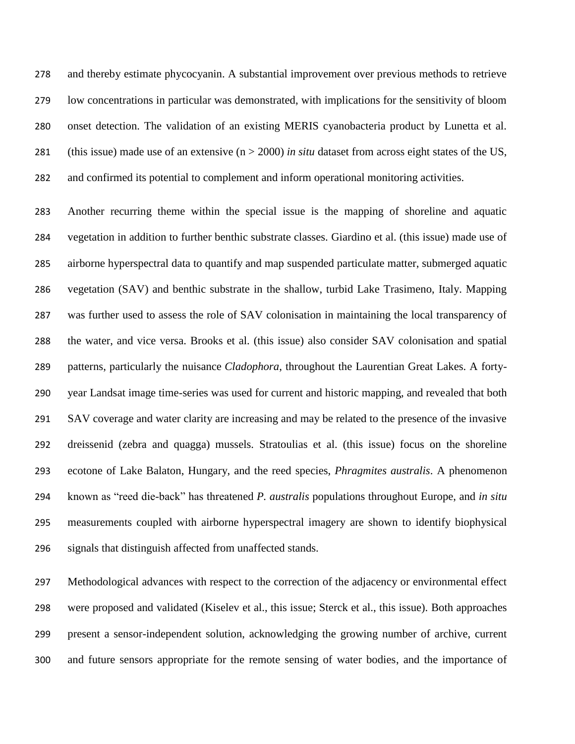and thereby estimate phycocyanin. A substantial improvement over previous methods to retrieve low concentrations in particular was demonstrated, with implications for the sensitivity of bloom onset detection. The validation of an existing MERIS cyanobacteria product by Lunetta et al. (this issue) made use of an extensive (n > 2000) *in situ* dataset from across eight states of the US, and confirmed its potential to complement and inform operational monitoring activities.

 Another recurring theme within the special issue is the mapping of shoreline and aquatic vegetation in addition to further benthic substrate classes. Giardino et al. (this issue) made use of airborne hyperspectral data to quantify and map suspended particulate matter, submerged aquatic vegetation (SAV) and benthic substrate in the shallow, turbid Lake Trasimeno, Italy. Mapping was further used to assess the role of SAV colonisation in maintaining the local transparency of the water, and vice versa. Brooks et al. (this issue) also consider SAV colonisation and spatial patterns, particularly the nuisance *Cladophora*, throughout the Laurentian Great Lakes. A forty- year Landsat image time-series was used for current and historic mapping, and revealed that both SAV coverage and water clarity are increasing and may be related to the presence of the invasive dreissenid (zebra and quagga) mussels. Stratoulias et al. (this issue) focus on the shoreline ecotone of Lake Balaton, Hungary, and the reed species, *Phragmites australis*. A phenomenon known as "reed die-back" has threatened *P. australis* populations throughout Europe, and *in situ*  measurements coupled with airborne hyperspectral imagery are shown to identify biophysical signals that distinguish affected from unaffected stands.

 Methodological advances with respect to the correction of the adjacency or environmental effect were proposed and validated (Kiselev et al., this issue; Sterck et al., this issue). Both approaches present a sensor-independent solution, acknowledging the growing number of archive, current and future sensors appropriate for the remote sensing of water bodies, and the importance of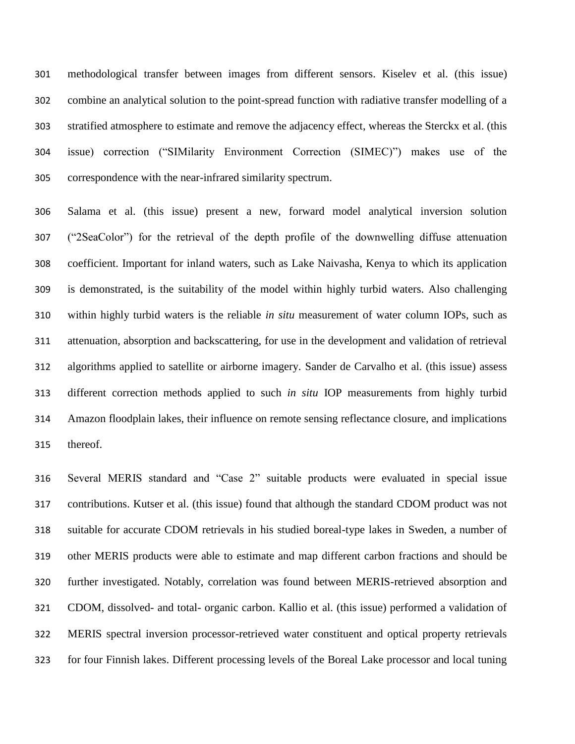methodological transfer between images from different sensors. Kiselev et al. (this issue) combine an analytical solution to the point-spread function with radiative transfer modelling of a stratified atmosphere to estimate and remove the adjacency effect, whereas the Sterckx et al. (this issue) correction ("SIMilarity Environment Correction (SIMEC)") makes use of the correspondence with the near-infrared similarity spectrum.

 Salama et al. (this issue) present a new, forward model analytical inversion solution ("2SeaColor") for the retrieval of the depth profile of the downwelling diffuse attenuation coefficient. Important for inland waters, such as Lake Naivasha, Kenya to which its application is demonstrated, is the suitability of the model within highly turbid waters. Also challenging within highly turbid waters is the reliable *in situ* measurement of water column IOPs, such as attenuation, absorption and backscattering, for use in the development and validation of retrieval algorithms applied to satellite or airborne imagery. Sander de Carvalho et al. (this issue) assess different correction methods applied to such *in situ* IOP measurements from highly turbid Amazon floodplain lakes, their influence on remote sensing reflectance closure, and implications thereof.

 Several MERIS standard and "Case 2" suitable products were evaluated in special issue contributions. Kutser et al. (this issue) found that although the standard CDOM product was not suitable for accurate CDOM retrievals in his studied boreal-type lakes in Sweden, a number of other MERIS products were able to estimate and map different carbon fractions and should be further investigated. Notably, correlation was found between MERIS-retrieved absorption and CDOM, dissolved- and total- organic carbon. Kallio et al. (this issue) performed a validation of MERIS spectral inversion processor-retrieved water constituent and optical property retrievals for four Finnish lakes. Different processing levels of the Boreal Lake processor and local tuning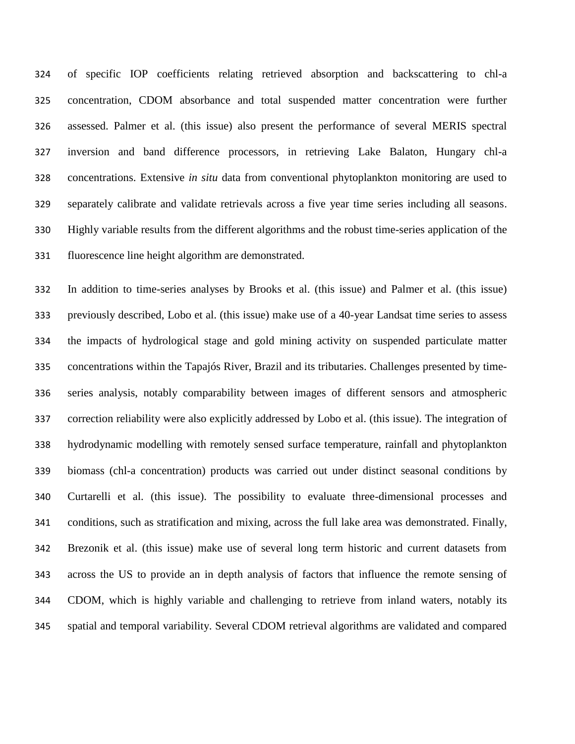of specific IOP coefficients relating retrieved absorption and backscattering to chl-a concentration, CDOM absorbance and total suspended matter concentration were further assessed. Palmer et al. (this issue) also present the performance of several MERIS spectral inversion and band difference processors, in retrieving Lake Balaton, Hungary chl-a concentrations. Extensive *in situ* data from conventional phytoplankton monitoring are used to separately calibrate and validate retrievals across a five year time series including all seasons. Highly variable results from the different algorithms and the robust time-series application of the fluorescence line height algorithm are demonstrated.

 In addition to time-series analyses by Brooks et al. (this issue) and Palmer et al. (this issue) previously described, Lobo et al. (this issue) make use of a 40-year Landsat time series to assess the impacts of hydrological stage and gold mining activity on suspended particulate matter concentrations within the Tapajós River, Brazil and its tributaries. Challenges presented by time- series analysis, notably comparability between images of different sensors and atmospheric correction reliability were also explicitly addressed by Lobo et al. (this issue). The integration of hydrodynamic modelling with remotely sensed surface temperature, rainfall and phytoplankton biomass (chl-a concentration) products was carried out under distinct seasonal conditions by Curtarelli et al. (this issue). The possibility to evaluate three-dimensional processes and conditions, such as stratification and mixing, across the full lake area was demonstrated. Finally, Brezonik et al. (this issue) make use of several long term historic and current datasets from across the US to provide an in depth analysis of factors that influence the remote sensing of CDOM, which is highly variable and challenging to retrieve from inland waters, notably its spatial and temporal variability. Several CDOM retrieval algorithms are validated and compared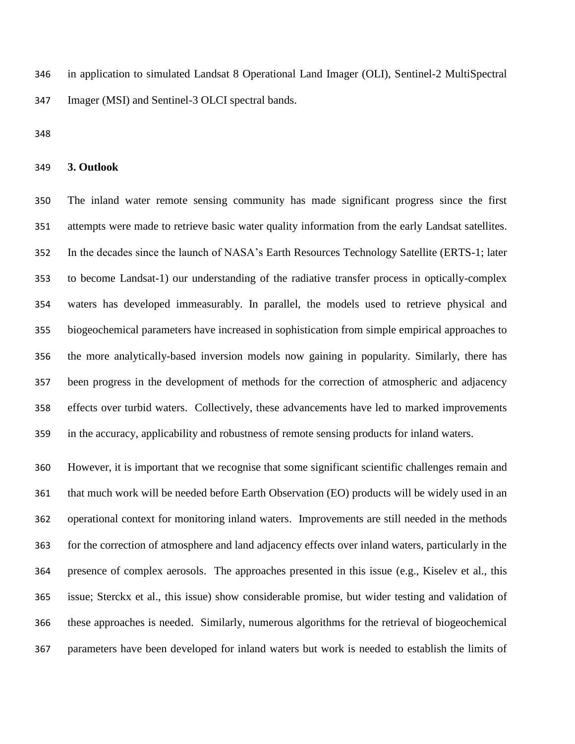in application to simulated Landsat 8 Operational Land Imager (OLI), Sentinel-2 MultiSpectral Imager (MSI) and Sentinel-3 OLCI spectral bands.

**3. Outlook**

 The inland water remote sensing community has made significant progress since the first attempts were made to retrieve basic water quality information from the early Landsat satellites. In the decades since the launch of NASA's Earth Resources Technology Satellite (ERTS-1; later to become Landsat-1) our understanding of the radiative transfer process in optically-complex waters has developed immeasurably. In parallel, the models used to retrieve physical and biogeochemical parameters have increased in sophistication from simple empirical approaches to the more analytically-based inversion models now gaining in popularity. Similarly, there has been progress in the development of methods for the correction of atmospheric and adjacency effects over turbid waters. Collectively, these advancements have led to marked improvements in the accuracy, applicability and robustness of remote sensing products for inland waters.

 However, it is important that we recognise that some significant scientific challenges remain and that much work will be needed before Earth Observation (EO) products will be widely used in an operational context for monitoring inland waters. Improvements are still needed in the methods for the correction of atmosphere and land adjacency effects over inland waters, particularly in the presence of complex aerosols. The approaches presented in this issue (e.g., Kiselev et al., this issue; Sterckx et al., this issue) show considerable promise, but wider testing and validation of these approaches is needed. Similarly, numerous algorithms for the retrieval of biogeochemical parameters have been developed for inland waters but work is needed to establish the limits of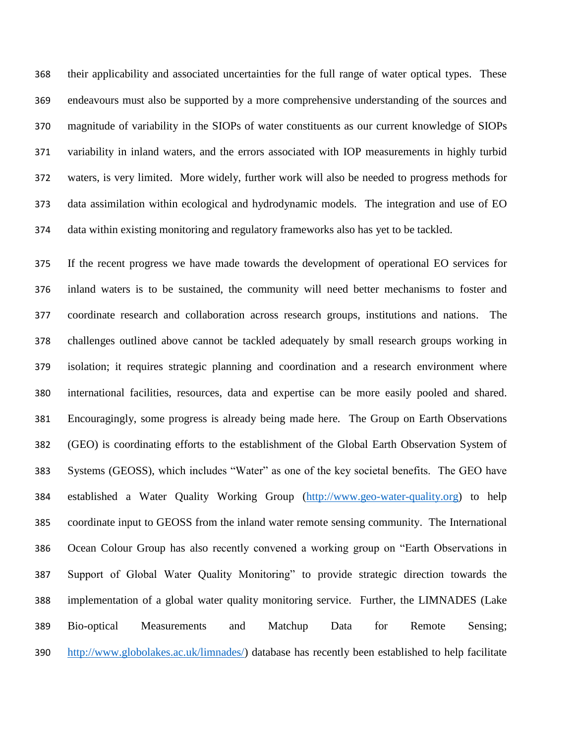their applicability and associated uncertainties for the full range of water optical types. These endeavours must also be supported by a more comprehensive understanding of the sources and magnitude of variability in the SIOPs of water constituents as our current knowledge of SIOPs variability in inland waters, and the errors associated with IOP measurements in highly turbid waters, is very limited. More widely, further work will also be needed to progress methods for data assimilation within ecological and hydrodynamic models. The integration and use of EO data within existing monitoring and regulatory frameworks also has yet to be tackled.

 If the recent progress we have made towards the development of operational EO services for inland waters is to be sustained, the community will need better mechanisms to foster and coordinate research and collaboration across research groups, institutions and nations. The challenges outlined above cannot be tackled adequately by small research groups working in isolation; it requires strategic planning and coordination and a research environment where international facilities, resources, data and expertise can be more easily pooled and shared. Encouragingly, some progress is already being made here. The Group on Earth Observations (GEO) is coordinating efforts to the establishment of the Global Earth Observation System of Systems (GEOSS), which includes "Water" as one of the key societal benefits. The GEO have established a Water Quality Working Group [\(http://www.geo-water-quality.org\)](http://www.geo-water-quality.org/) to help coordinate input to GEOSS from the inland water remote sensing community. The International Ocean Colour Group has also recently convened a working group on "Earth Observations in Support of Global Water Quality Monitoring" to provide strategic direction towards the implementation of a global water quality monitoring service. Further, the LIMNADES (Lake Bio-optical Measurements and Matchup Data for Remote Sensing; [http://www.globolakes.ac.uk/limnades/\)](http://www.globolakes.ac.uk/limnades/) database has recently been established to help facilitate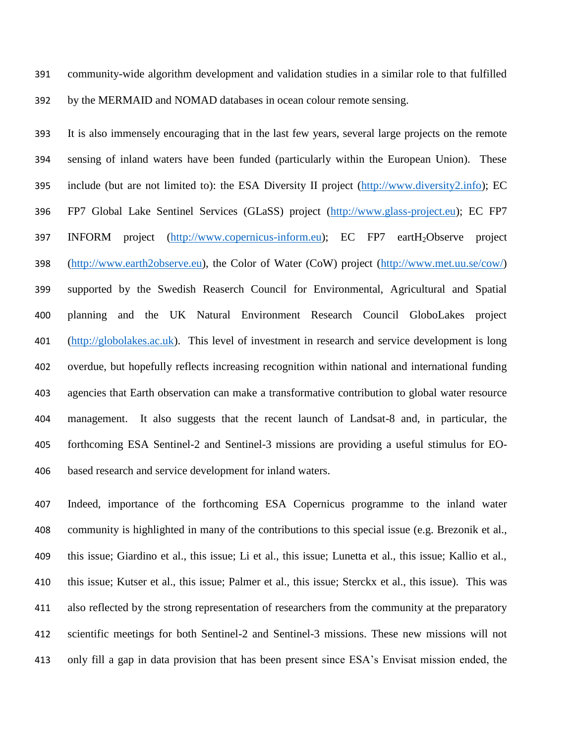community-wide algorithm development and validation studies in a similar role to that fulfilled by the MERMAID and NOMAD databases in ocean colour remote sensing.

 It is also immensely encouraging that in the last few years, several large projects on the remote sensing of inland waters have been funded (particularly within the European Union). These include (but are not limited to): the ESA Diversity II project [\(http://www.diversity2.info\)](http://www.diversity2.info/); EC FP7 Global Lake Sentinel Services (GLaSS) project [\(http://www.glass-project.eu\)](http://www.glass-project.eu/); EC FP7 397 INFORM project [\(http://www.copernicus-inform.eu\)](http://www.copernicus-inform.eu/); EC FP7 eartH<sub>2</sub>Observe project [\(http://www.earth2observe.eu\)](http://www.earth2observe.eu/), the Color of Water (CoW) project [\(http://www.met.uu.se/cow/\)](http://www.met.uu.se/cow/) supported by the Swedish Reaserch Council for Environmental, Agricultural and Spatial planning and the UK Natural Environment Research Council GloboLakes project [\(http://globolakes.ac.uk\)](http://globolakes.ac.uk/). This level of investment in research and service development is long overdue, but hopefully reflects increasing recognition within national and international funding agencies that Earth observation can make a transformative contribution to global water resource management. It also suggests that the recent launch of Landsat-8 and, in particular, the forthcoming ESA Sentinel-2 and Sentinel-3 missions are providing a useful stimulus for EO-based research and service development for inland waters.

 Indeed, importance of the forthcoming ESA Copernicus programme to the inland water community is highlighted in many of the contributions to this special issue (e.g. Brezonik et al., this issue; Giardino et al., this issue; Li et al., this issue; Lunetta et al., this issue; Kallio et al., this issue; Kutser et al., this issue; Palmer et al., this issue; Sterckx et al., this issue). This was also reflected by the strong representation of researchers from the community at the preparatory scientific meetings for both Sentinel-2 and Sentinel-3 missions. These new missions will not only fill a gap in data provision that has been present since ESA's Envisat mission ended, the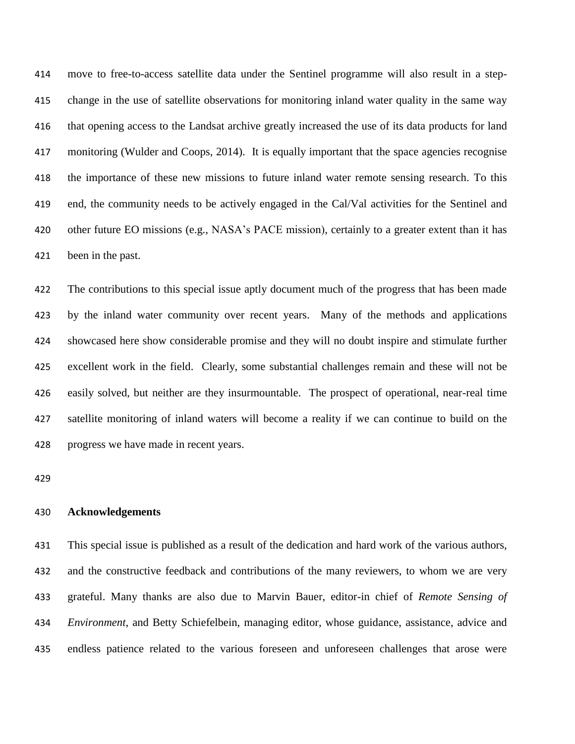move to free-to-access satellite data under the Sentinel programme will also result in a step- change in the use of satellite observations for monitoring inland water quality in the same way that opening access to the Landsat archive greatly increased the use of its data products for land monitoring (Wulder and Coops, 2014). It is equally important that the space agencies recognise the importance of these new missions to future inland water remote sensing research. To this end, the community needs to be actively engaged in the Cal/Val activities for the Sentinel and other future EO missions (e.g., NASA's PACE mission), certainly to a greater extent than it has been in the past.

 The contributions to this special issue aptly document much of the progress that has been made by the inland water community over recent years. Many of the methods and applications showcased here show considerable promise and they will no doubt inspire and stimulate further excellent work in the field. Clearly, some substantial challenges remain and these will not be easily solved, but neither are they insurmountable. The prospect of operational, near-real time satellite monitoring of inland waters will become a reality if we can continue to build on the progress we have made in recent years.

# **Acknowledgements**

 This special issue is published as a result of the dedication and hard work of the various authors, and the constructive feedback and contributions of the many reviewers, to whom we are very grateful. Many thanks are also due to Marvin Bauer, editor-in chief of *Remote Sensing of Environment*, and Betty Schiefelbein, managing editor, whose guidance, assistance, advice and endless patience related to the various foreseen and unforeseen challenges that arose were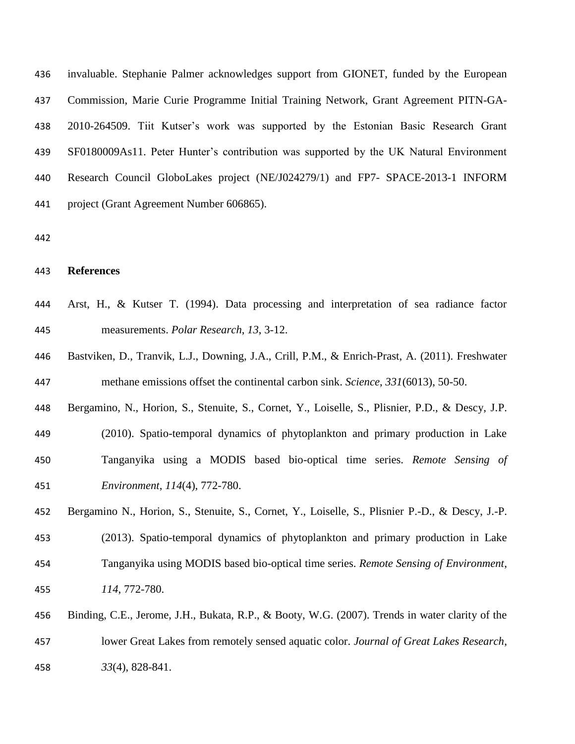invaluable. Stephanie Palmer acknowledges support from GIONET, funded by the European Commission, Marie Curie Programme Initial Training Network, Grant Agreement PITN-GA- 2010-264509. Tiit Kutser's work was supported by the Estonian Basic Research Grant SF0180009As11. Peter Hunter's contribution was supported by the UK Natural Environment Research Council GloboLakes project (NE/J024279/1) and FP7- SPACE-2013-1 INFORM project (Grant Agreement Number 606865).

## **References**

- Arst, H., & Kutser T. (1994). Data processing and interpretation of sea radiance factor measurements. *Polar Research*, *13*, 3-12.
- Bastviken, D., Tranvik, L.J., Downing, J.A., Crill, P.M., & Enrich-Prast, A. (2011). Freshwater methane emissions offset the continental carbon sink. *Science*, *331*(6013), 50-50.
- Bergamino, N., Horion, S., Stenuite, S., Cornet, Y., Loiselle, S., Plisnier, P.D., & Descy, J.P.
- (2010). Spatio-temporal dynamics of phytoplankton and primary production in Lake Tanganyika using a MODIS based bio-optical time series. *Remote Sensing of Environment*, *114*(4), 772-780.
- Bergamino N., Horion, S., Stenuite, S., Cornet, Y., Loiselle, S., Plisnier P.-D., & Descy, J.-P. (2013). Spatio-temporal dynamics of phytoplankton and primary production in Lake Tanganyika using MODIS based bio-optical time series. *Remote Sensing of Environment*, *114*, 772-780.
- Binding, C.E., Jerome, J.H., Bukata, R.P., & Booty, W.G. (2007). Trends in water clarity of the lower Great Lakes from remotely sensed aquatic color. *Journal of Great Lakes Research*, *33*(4), 828-841.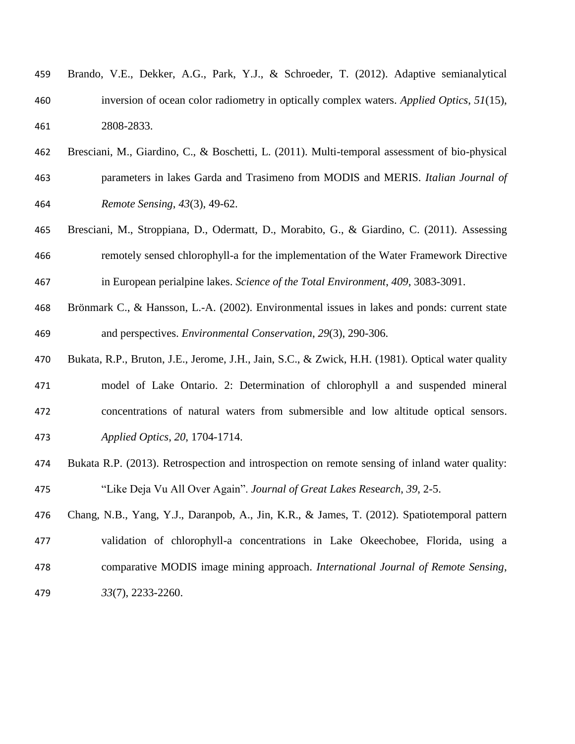| 459 | Brando, V.E., Dekker, A.G., Park, Y.J., & Schroeder, T. (2012). Adaptive semianalytical     |
|-----|---------------------------------------------------------------------------------------------|
| 460 | inversion of ocean color radiometry in optically complex waters. Applied Optics, $51(15)$ , |
| 461 | 2808-2833.                                                                                  |

- Bresciani, M., Giardino, C., & Boschetti, L. (2011). Multi-temporal assessment of bio-physical parameters in lakes Garda and Trasimeno from MODIS and MERIS. *Italian Journal of Remote Sensing*, *43*(3), 49-62.
- Bresciani, M., Stroppiana, D., Odermatt, D., Morabito, G., & Giardino, C. (2011). Assessing remotely sensed chlorophyll-a for the implementation of the Water Framework Directive in European perialpine lakes. *Science of the Total Environment*, *409*, 3083-3091.
- Brönmark C., & Hansson, L.-A. (2002). Environmental issues in lakes and ponds: current state and perspectives. *Environmental Conservation*, *29*(3), 290-306.
- Bukata, R.P., Bruton, J.E., Jerome, J.H., Jain, S.C., & Zwick, H.H. (1981). Optical water quality model of Lake Ontario. 2: Determination of chlorophyll a and suspended mineral concentrations of natural waters from submersible and low altitude optical sensors. *Applied Optics*, *20*, 1704-1714.
- Bukata R.P. (2013). Retrospection and introspection on remote sensing of inland water quality: "Like Deja Vu All Over Again". *Journal of Great Lakes Res*e*arch*, *39*, 2-5.

 Chang, N.B., Yang, Y.J., Daranpob, A., Jin, K.R., & James, T. (2012). Spatiotemporal pattern validation of chlorophyll-a concentrations in Lake Okeechobee, Florida, using a comparative MODIS image mining approach. *International Journal of Remote Sensing*, *33*(7), 2233-2260.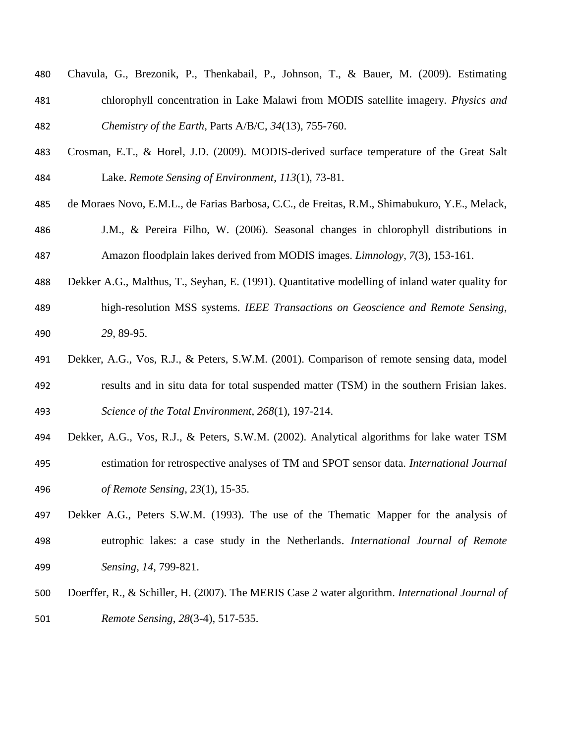- Chavula, G., Brezonik, P., Thenkabail, P., Johnson, T., & Bauer, M. (2009). Estimating chlorophyll concentration in Lake Malawi from MODIS satellite imagery. *Physics and Chemistry of the Earth*, Parts A/B/C, *34*(13), 755-760.
- Crosman, E.T., & Horel, J.D. (2009). MODIS-derived surface temperature of the Great Salt Lake. *Remote Sensing of Environment*, *113*(1), 73-81.
- de Moraes Novo, E.M.L., de Farias Barbosa, C.C., de Freitas, R.M., Shimabukuro, Y.E., Melack,
- J.M., & Pereira Filho, W. (2006). Seasonal changes in chlorophyll distributions in Amazon floodplain lakes derived from MODIS images. *Limnology*, *7*(3), 153-161.
- Dekker A.G., Malthus, T., Seyhan, E. (1991). Quantitative modelling of inland water quality for high-resolution MSS systems. *IEEE Transactions on Geoscience and Remote Sensing*, *29*, 89-95.
- Dekker, A.G., Vos, R.J., & Peters, S.W.M. (2001). Comparison of remote sensing data, model results and in situ data for total suspended matter (TSM) in the southern Frisian lakes. *Science of the Total Environment*, *268*(1), 197-214.
- Dekker, A.G., Vos, R.J., & Peters, S.W.M. (2002). Analytical algorithms for lake water TSM estimation for retrospective analyses of TM and SPOT sensor data. *International Journal of Remote Sensing*, *23*(1), 15-35.
- Dekker A.G., Peters S.W.M. (1993). The use of the Thematic Mapper for the analysis of eutrophic lakes: a case study in the Netherlands. *International Journal of Remote Sensing*, *14*, 799-821.
- Doerffer, R., & Schiller, H. (2007). The MERIS Case 2 water algorithm. *International Journal of Remote Sensing*, *28*(3-4), 517-535.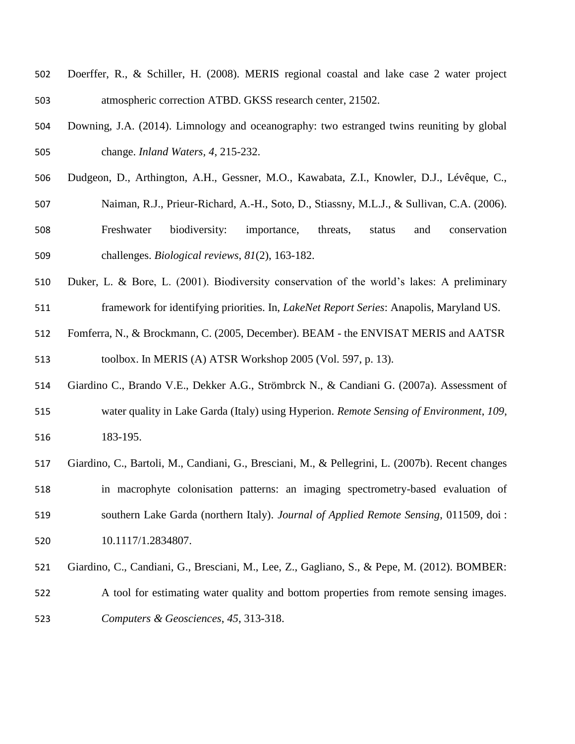- Doerffer, R., & Schiller, H. (2008). MERIS regional coastal and lake case 2 water project atmospheric correction ATBD. GKSS research center, 21502.
- Downing, J.A. (2014). Limnology and oceanography: two estranged twins reuniting by global change. *Inland Waters, 4*, 215-232.
- Dudgeon, D., Arthington, A.H., Gessner, M.O., Kawabata, Z.I., Knowler, D.J., Lévêque, C.,
- Naiman, R.J., Prieur-Richard, A.-H., Soto, D., Stiassny, M.L.J., & Sullivan, C.A. (2006).
- Freshwater biodiversity: importance, threats, status and conservation challenges. *Biological reviews*, *81*(2), 163-182.
- Duker, L. & Bore, L. (2001). Biodiversity conservation of the world's lakes: A preliminary framework for identifying priorities. In, *LakeNet Report Series*: Anapolis, Maryland US.
- Fomferra, N., & Brockmann, C. (2005, December). BEAM the ENVISAT MERIS and AATSR toolbox. In MERIS (A) ATSR Workshop 2005 (Vol. 597, p. 13).
- Giardino C., Brando V.E., Dekker A.G., Strömbrck N., & Candiani G. (2007a). Assessment of water quality in Lake Garda (Italy) using Hyperion. *Remote Sensing of Environment*, *109*, 183-195.
- Giardino, C., Bartoli, M., Candiani, G., Bresciani, M., & Pellegrini, L. (2007b). Recent changes in macrophyte colonisation patterns: an imaging spectrometry-based evaluation of southern Lake Garda (northern Italy). *Journal of Applied Remote Sensing*, 011509, doi : 10.1117/1.2834807.
- Giardino, C., Candiani, G., Bresciani, M., Lee, Z., Gagliano, S., & Pepe, M. (2012). BOMBER:
- 522 A tool for estimating water quality and bottom properties from remote sensing images. *Computers & Geosciences*, *45*, 313-318.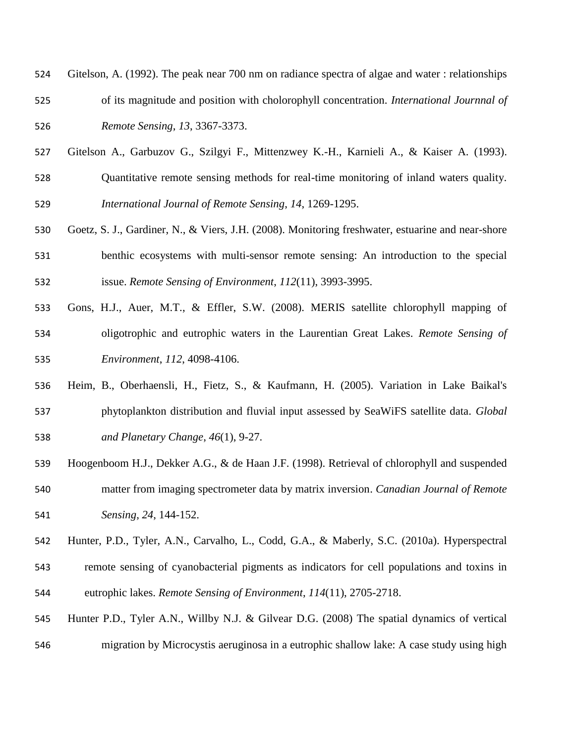| 524 | Gitelson, A. (1992). The peak near 700 nm on radiance spectra of algae and water : relationships |
|-----|--------------------------------------------------------------------------------------------------|
| 525 | of its magnitude and position with cholorophyll concentration. <i>International Journnal of</i>  |
| 526 | Remote Sensing, 13, 3367-3373.                                                                   |

- Gitelson A., Garbuzov G., Szilgyi F., Mittenzwey K.-H., Karnieli A., & Kaiser A. (1993).
- Quantitative remote sensing methods for real-time monitoring of inland waters quality. *International Journal of Remote Sensing*, *14*, 1269-1295.
- Goetz, S. J., Gardiner, N., & Viers, J.H. (2008). Monitoring freshwater, estuarine and near-shore benthic ecosystems with multi-sensor remote sensing: An introduction to the special issue. *Remote Sensing of Environment*, *112*(11), 3993-3995.
- Gons, H.J., Auer, M.T., & Effler, S.W. (2008). MERIS satellite chlorophyll mapping of oligotrophic and eutrophic waters in the Laurentian Great Lakes. *Remote Sensing of Environment*, *112*, 4098-4106.
- Heim, B., Oberhaensli, H., Fietz, S., & Kaufmann, H. (2005). Variation in Lake Baikal's phytoplankton distribution and fluvial input assessed by SeaWiFS satellite data. *Global and Planetary Change*, *46*(1), 9-27.
- Hoogenboom H.J., Dekker A.G., & de Haan J.F. (1998). Retrieval of chlorophyll and suspended matter from imaging spectrometer data by matrix inversion. *Canadian Journal of Remote Sensing*, *24*, 144-152.
- Hunter, P.D., Tyler, A.N., Carvalho, L., Codd, G.A., & Maberly, S.C. (2010a). Hyperspectral
- remote sensing of cyanobacterial pigments as indicators for cell populations and toxins in eutrophic lakes. *Remote Sensing of Environment*, *114*(11), 2705-2718.
- Hunter P.D., Tyler A.N., Willby N.J. & Gilvear D.G. (2008) The spatial dynamics of vertical migration by Microcystis aeruginosa in a eutrophic shallow lake: A case study using high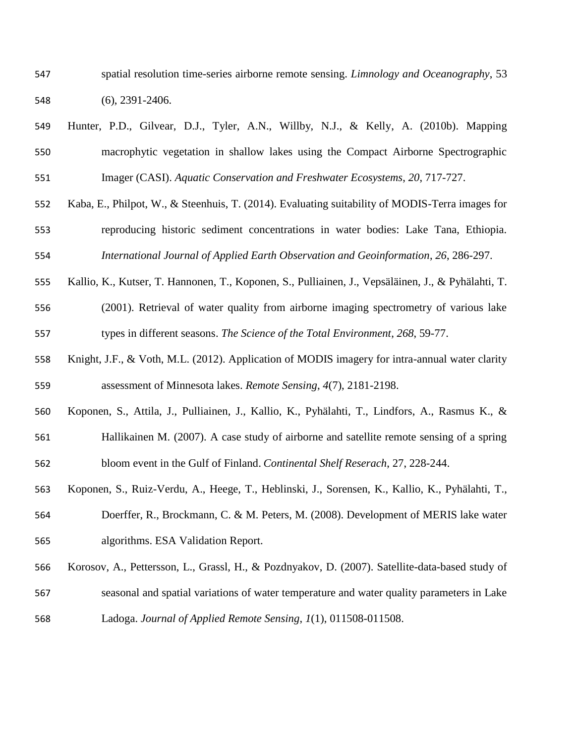spatial resolution time-series airborne remote sensing. *Limnology and Oceanography*, 53 (6), 2391-2406.

- Hunter, P.D., Gilvear, D.J., Tyler, A.N., Willby, N.J., & Kelly, A. (2010b). Mapping macrophytic vegetation in shallow lakes using the Compact Airborne Spectrographic Imager (CASI). *Aquatic Conservation and Freshwater Ecosystems*, *20*, 717-727.
- Kaba, E., Philpot, W., & Steenhuis, T. (2014). Evaluating suitability of MODIS-Terra images for reproducing historic sediment concentrations in water bodies: Lake Tana, Ethiopia. *International Journal of Applied Earth Observation and Geoinformation*, *26*, 286-297.
- Kallio, K., Kutser, T. Hannonen, T., Koponen, S., Pulliainen, J., Vepsäläinen, J., & Pyhälahti, T. (2001). Retrieval of water quality from airborne imaging spectrometry of various lake types in different seasons. *The Science of the Total Environment*, *268*, 59-77.
- Knight, J.F., & Voth, M.L. (2012). Application of MODIS imagery for intra-annual water clarity assessment of Minnesota lakes. *Remote Sensing*, *4*(7), 2181-2198.
- Koponen, S., Attila, J., Pulliainen, J., Kallio, K., Pyhälahti, T., Lindfors, A., Rasmus K., &
- Hallikainen M. (2007). A case study of airborne and satellite remote sensing of a spring bloom event in the Gulf of Finland. *Continental Shelf Reserach*, 27, 228-244.
- Koponen, S., Ruiz-Verdu, A., Heege, T., Heblinski, J., Sorensen, K., Kallio, K., Pyhälahti, T., Doerffer, R., Brockmann, C. & M. Peters, M. (2008). Development of MERIS lake water algorithms. ESA Validation Report.
- Korosov, A., Pettersson, L., Grassl, H., & Pozdnyakov, D. (2007). Satellite-data-based study of
- seasonal and spatial variations of water temperature and water quality parameters in Lake
- Ladoga. *Journal of Applied Remote Sensing*, *1*(1), 011508-011508.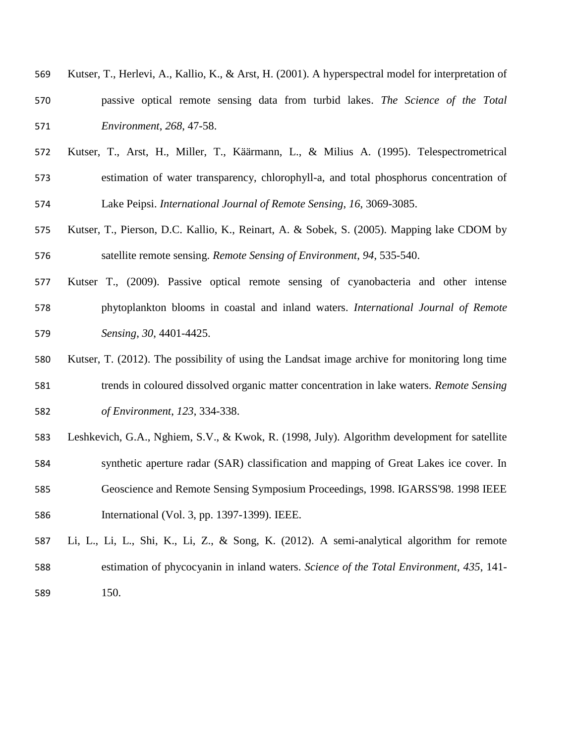| 569 | Kutser, T., Herlevi, A., Kallio, K., & Arst, H. (2001). A hyperspectral model for interpretation of |
|-----|-----------------------------------------------------------------------------------------------------|
| 570 | passive optical remote sensing data from turbid lakes. The Science of the Total                     |
| 571 | <i>Environment, 268, 47-58.</i>                                                                     |

- Kutser, T., Arst, H., Miller, T., Käärmann, L., & Milius A. (1995). Telespectrometrical estimation of water transparency, chlorophyll-a, and total phosphorus concentration of Lake Peipsi. *International Journal of Remote Sensing*, *16*, 3069-3085.
- Kutser, T., Pierson, D.C. Kallio, K., Reinart, A. & Sobek, S. (2005). Mapping lake CDOM by satellite remote sensing. *Remote Sensing of Environment*, *94*, 535-540.
- Kutser T., (2009). Passive optical remote sensing of cyanobacteria and other intense phytoplankton blooms in coastal and inland waters. *International Journal of Remote Sensing*, *30*, 4401-4425.
- Kutser, T. (2012). The possibility of using the Landsat image archive for monitoring long time trends in coloured dissolved organic matter concentration in lake waters. *Remote Sensing of Environment*, *123*, 334-338.
- Leshkevich, G.A., Nghiem, S.V., & Kwok, R. (1998, July). Algorithm development for satellite synthetic aperture radar (SAR) classification and mapping of Great Lakes ice cover. In Geoscience and Remote Sensing Symposium Proceedings, 1998. IGARSS'98. 1998 IEEE International (Vol. 3, pp. 1397-1399). IEEE.
- Li, L., Li, L., Shi, K., Li, Z., & Song, K. (2012). A semi-analytical algorithm for remote estimation of phycocyanin in inland waters. *Science of the Total Environment*, *435*, 141- 150.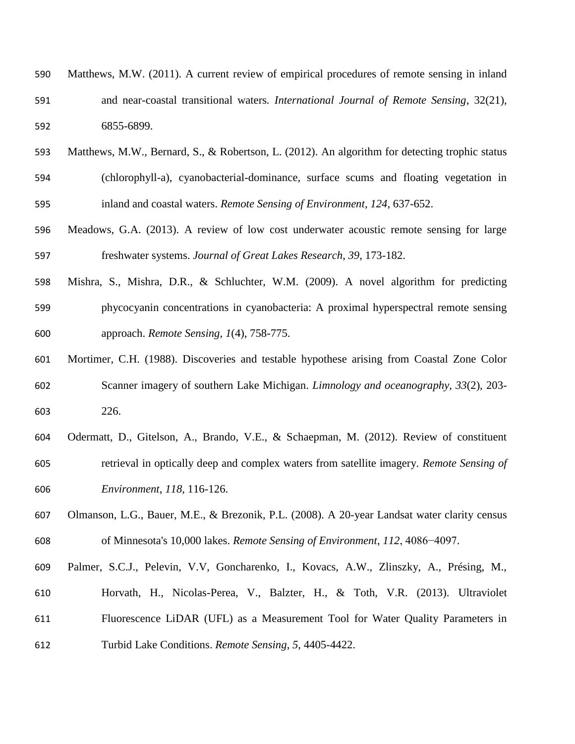| 590 | Matthews, M.W. (2011). A current review of empirical procedures of remote sensing in inland       |
|-----|---------------------------------------------------------------------------------------------------|
| 591 | and near-coastal transitional waters. <i>International Journal of Remote Sensing</i> , $32(21)$ , |
| 592 | 6855-6899.                                                                                        |

- Matthews, M.W., Bernard, S., & Robertson, L. (2012). An algorithm for detecting trophic status (chlorophyll-a), cyanobacterial-dominance, surface scums and floating vegetation in
- inland and coastal waters. *Remote Sensing of Environment*, *124*, 637-652.
- Meadows, G.A. (2013). A review of low cost underwater acoustic remote sensing for large freshwater systems. *Journal of Great Lakes Research*, *39*, 173-182.
- Mishra, S., Mishra, D.R., & Schluchter, W.M. (2009). A novel algorithm for predicting phycocyanin concentrations in cyanobacteria: A proximal hyperspectral remote sensing approach. *Remote Sensing*, *1*(4), 758-775.
- Mortimer, C.H. (1988). Discoveries and testable hypothese arising from Coastal Zone Color Scanner imagery of southern Lake Michigan. *Limnology and oceanography*, *33*(2), 203- 226.
- Odermatt, D., Gitelson, A., Brando, V.E., & Schaepman, M. (2012). Review of constituent retrieval in optically deep and complex waters from satellite imagery. *Remote Sensing of Environment*, *118*, 116-126.
- Olmanson, L.G., Bauer, M.E., & Brezonik, P.L. (2008). A 20-year Landsat water clarity census of Minnesota's 10,000 lakes. *Remote Sensing of Environment*, *112*, 4086−4097.
- Palmer, S.C.J., Pelevin, V.V, Goncharenko, I., Kovacs, A.W., Zlinszky, A., Présing, M.,
- Horvath, H., Nicolas-Perea, V., Balzter, H., & Toth, V.R. (2013). Ultraviolet
- Fluorescence LiDAR (UFL) as a Measurement Tool for Water Quality Parameters in Turbid Lake Conditions. *Remote Sensing*, *5*, 4405-4422.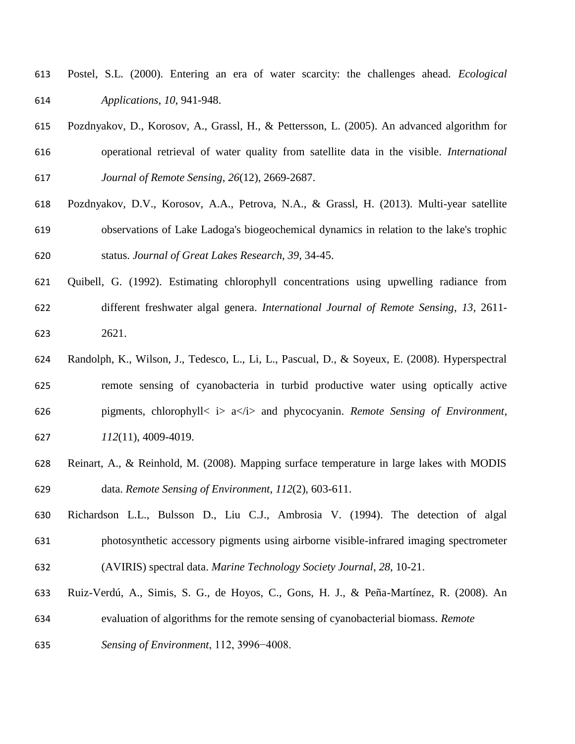- Postel, S.L. (2000). Entering an era of water scarcity: the challenges ahead. *Ecological Applications*, *10*, 941-948.
- Pozdnyakov, D., Korosov, A., Grassl, H., & Pettersson, L. (2005). An advanced algorithm for operational retrieval of water quality from satellite data in the visible. *International Journal of Remote Sensing*, *26*(12), 2669-2687.
- Pozdnyakov, D.V., Korosov, A.A., Petrova, N.A., & Grassl, H. (2013). Multi-year satellite observations of Lake Ladoga's biogeochemical dynamics in relation to the lake's trophic status. *Journal of Great Lakes Research*, *39*, 34-45.
- Quibell, G. (1992). Estimating chlorophyll concentrations using upwelling radiance from different freshwater algal genera. *International Journal of Remote Sensing*, *13*, 2611- 2621.
- Randolph, K., Wilson, J., Tedesco, L., Li, L., Pascual, D., & Soyeux, E. (2008). Hyperspectral remote sensing of cyanobacteria in turbid productive water using optically active pigments, chlorophyll< i> a</i> and phycocyanin. *Remote Sensing of Environment*, *112*(11), 4009-4019.
- Reinart, A., & Reinhold, M. (2008). Mapping surface temperature in large lakes with MODIS data. *Remote Sensing of Environment*, *112*(2), 603-611.
- Richardson L.L., Bulsson D., Liu C.J., Ambrosia V. (1994). The detection of algal photosynthetic accessory pigments using airborne visible-infrared imaging spectrometer (AVIRIS) spectral data. *Marine Technology Society Journal*, *28*, 10-21.
- Ruiz-Verdú, A., Simis, S. G., de Hoyos, C., Gons, H. J., & Peña-Martínez, R. (2008). An evaluation of algorithms for the remote sensing of cyanobacterial biomass. *Remote*
- *Sensing of Environment*, 112, 3996−4008.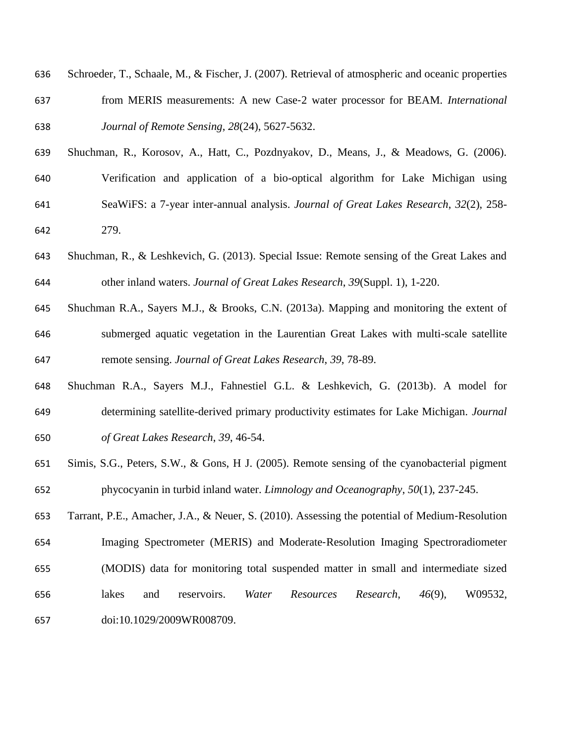| 636 | Schroeder, T., Schaale, M., & Fischer, J. (2007). Retrieval of atmospheric and oceanic properties |
|-----|---------------------------------------------------------------------------------------------------|
| 637 | from MERIS measurements: A new Case-2 water processor for BEAM. International                     |
| 638 | Journal of Remote Sensing, 28(24), 5627-5632.                                                     |

Shuchman, R., Korosov, A., Hatt, C., Pozdnyakov, D., Means, J., & Meadows, G. (2006).

Verification and application of a bio-optical algorithm for Lake Michigan using

- SeaWiFS: a 7-year inter-annual analysis. *Journal of Great Lakes Research*, *32*(2), 258- 279.
- Shuchman, R., & Leshkevich, G. (2013). Special Issue: Remote sensing of the Great Lakes and other inland waters. *Journal of Great Lakes Research*, *39*(Suppl. 1), 1-220.
- Shuchman R.A., Sayers M.J., & Brooks, C.N. (2013a). Mapping and monitoring the extent of submerged aquatic vegetation in the Laurentian Great Lakes with multi-scale satellite remote sensing. *Journal of Great Lakes Research*, *39*, 78-89.
- Shuchman R.A., Sayers M.J., Fahnestiel G.L. & Leshkevich, G. (2013b). A model for determining satellite-derived primary productivity estimates for Lake Michigan. *Journal of Great Lakes Research*, *39*, 46-54.
- Simis, S.G., Peters, S.W., & Gons, H J. (2005). Remote sensing of the cyanobacterial pigment phycocyanin in turbid inland water. *Limnology and Oceanography*, *50*(1), 237-245.
- Tarrant, P.E., Amacher, J.A., & Neuer, S. (2010). Assessing the potential of Medium‐Resolution Imaging Spectrometer (MERIS) and Moderate‐Resolution Imaging Spectroradiometer (MODIS) data for monitoring total suspended matter in small and intermediate sized lakes and reservoirs. *Water Resources Research*, *46*(9), W09532, doi:10.1029/2009WR008709.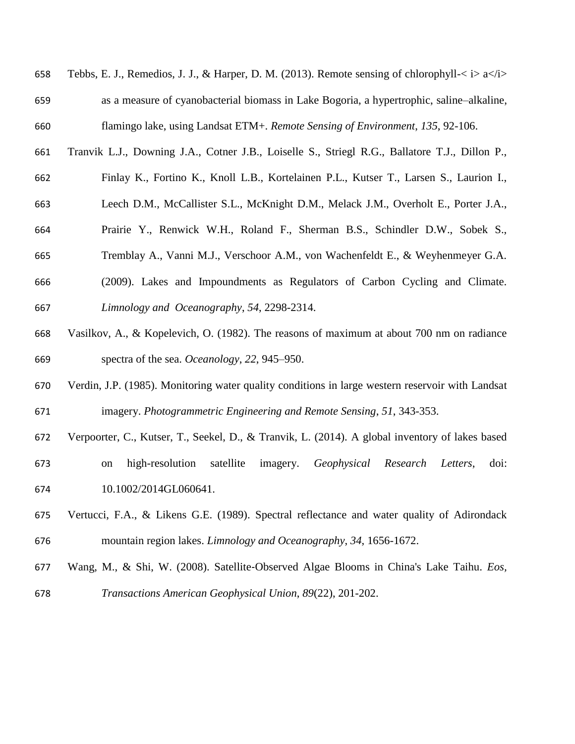| 658 | Tebbs, E. J., Remedios, J. J., & Harper, D. M. (2013). Remote sensing of chlorophyll- $\lt i$ a $\lt i$ |
|-----|---------------------------------------------------------------------------------------------------------|
| 659 | as a measure of cyanobacterial biomass in Lake Bogoria, a hypertrophic, saline-alkaline,                |
| 660 | flamingo lake, using Landsat ETM+. Remote Sensing of Environment, 135, 92-106.                          |

- Tranvik L.J., Downing J.A., Cotner J.B., Loiselle S., Striegl R.G., Ballatore T.J., Dillon P.,
- Finlay K., Fortino K., Knoll L.B., Kortelainen P.L., Kutser T., Larsen S., Laurion I.,
- Leech D.M., McCallister S.L., McKnight D.M., Melack J.M., Overholt E., Porter J.A.,
- Prairie Y., Renwick W.H., Roland F., Sherman B.S., Schindler D.W., Sobek S.,
- Tremblay A., Vanni M.J., Verschoor A.M., von Wachenfeldt E., & Weyhenmeyer G.A.
- (2009). Lakes and Impoundments as Regulators of Carbon Cycling and Climate. *Limnology and Oceanography*, *54*, 2298-2314.
- Vasilkov, A., & Kopelevich, O. (1982). The reasons of maximum at about 700 nm on radiance spectra of the sea. *Oceanology*, *22*, 945–950.
- Verdin, J.P. (1985). Monitoring water quality conditions in large western reservoir with Landsat imagery. *Photogrammetric Engineering and Remote Sensing*, *51*, 343-353.
- Verpoorter, C., Kutser, T., Seekel, D., & Tranvik, L. (2014). A global inventory of lakes based
- on high-resolution satellite imagery. *Geophysical Research Letters*, doi: 10.1002/2014GL060641.
- Vertucci, F.A., & Likens G.E. (1989). Spectral reflectance and water quality of Adirondack mountain region lakes. *Limnology and Oceanography*, *34*, 1656-1672.
- Wang, M., & Shi, W. (2008). Satellite‐Observed Algae Blooms in China's Lake Taihu. *Eos, Transactions American Geophysical Union*, *89*(22), 201-202.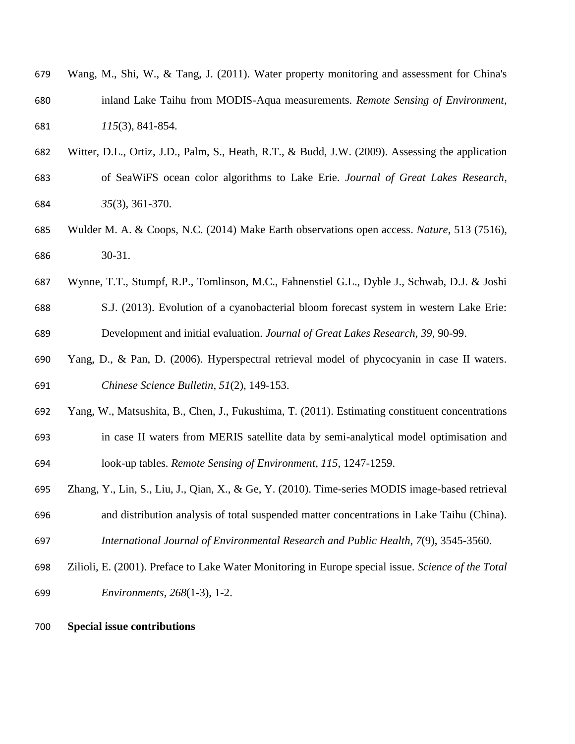| 679 | Wang, M., Shi, W., & Tang, J. (2011). Water property monitoring and assessment for China's |
|-----|--------------------------------------------------------------------------------------------|
| 680 | inland Lake Taihu from MODIS-Aqua measurements. Remote Sensing of Environment,             |
| 681 | $115(3)$ , 841-854.                                                                        |

- Witter, D.L., Ortiz, J.D., Palm, S., Heath, R.T., & Budd, J.W. (2009). Assessing the application
- of SeaWiFS ocean color algorithms to Lake Erie. *Journal of Great Lakes Research*, *35*(3), 361-370.
- Wulder M. A. & Coops, N.C. (2014) Make Earth observations open access. *Nature*, 513 (7516), 30-31.
- Wynne, T.T., Stumpf, R.P., Tomlinson, M.C., Fahnenstiel G.L., Dyble J., Schwab, D.J. & Joshi
- S.J. (2013). Evolution of a cyanobacterial bloom forecast system in western Lake Erie: Development and initial evaluation. *Journal of Great Lakes Research*, *39*, 90-99.
- Yang, D., & Pan, D. (2006). Hyperspectral retrieval model of phycocyanin in case II waters. *Chinese Science Bulletin*, *51*(2), 149-153.
- Yang, W., Matsushita, B., Chen, J., Fukushima, T. (2011). Estimating constituent concentrations
- in case II waters from MERIS satellite data by semi-analytical model optimisation and look-up tables. *Remote Sensing of Environment*, *115*, 1247-1259.
- Zhang, Y., Lin, S., Liu, J., Qian, X., & Ge, Y. (2010). Time-series MODIS image-based retrieval and distribution analysis of total suspended matter concentrations in Lake Taihu (China). *International Journal of Environmental Research and Public Health*, *7*(9), 3545-3560.
- Zilioli, E. (2001). Preface to Lake Water Monitoring in Europe special issue. *Science of the Total Environments*, *268*(1-3), 1-2.
- **Special issue contributions**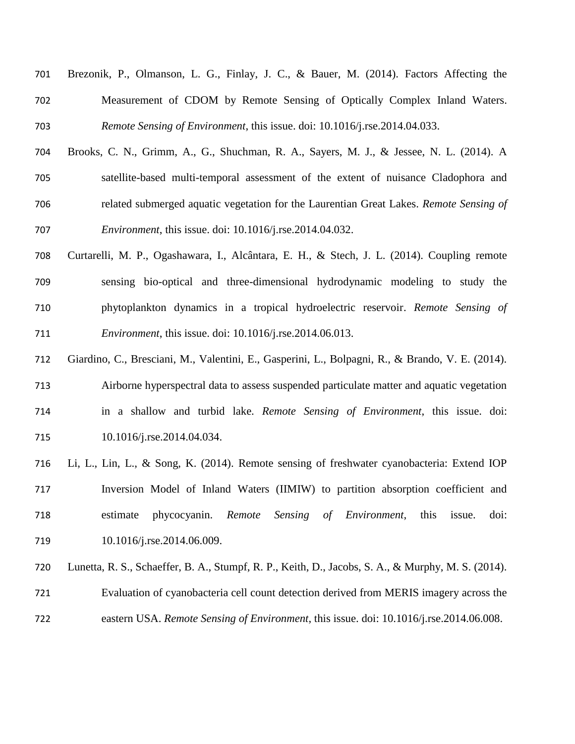| 701 | Brezonik, P., Olmanson, L. G., Finlay, J. C., & Bauer, M. (2014). Factors Affecting the |
|-----|-----------------------------------------------------------------------------------------|
| 702 | Measurement of CDOM by Remote Sensing of Optically Complex Inland Waters.               |
| 703 | <i>Remote Sensing of Environment, this issue. doi: 10.1016/j.rse.2014.04.033.</i>       |

- Brooks, C. N., Grimm, A., G., Shuchman, R. A., Sayers, M. J., & Jessee, N. L. (2014). A satellite-based multi-temporal assessment of the extent of nuisance Cladophora and related submerged aquatic vegetation for the Laurentian Great Lakes. *Remote Sensing of Environment*, this issue. doi: 10.1016/j.rse.2014.04.032.
- Curtarelli, M. P., Ogashawara, I., Alcântara, E. H., & Stech, J. L. (2014). Coupling remote sensing bio-optical and three-dimensional hydrodynamic modeling to study the phytoplankton dynamics in a tropical hydroelectric reservoir. *Remote Sensing of Environment*, this issue. doi: 10.1016/j.rse.2014.06.013.
- Giardino, C., Bresciani, M., Valentini, E., Gasperini, L., Bolpagni, R., & Brando, V. E. (2014). Airborne hyperspectral data to assess suspended particulate matter and aquatic vegetation in a shallow and turbid lake. *Remote Sensing of Environment*, this issue. doi: 715 10.1016/j.rse.2014.04.034.
- Li, L., Lin, L., & Song, K. (2014). Remote sensing of freshwater cyanobacteria: Extend IOP Inversion Model of Inland Waters (IIMIW) to partition absorption coefficient and estimate phycocyanin. *Remote Sensing of Environment*, this issue. doi: 719 10.1016/j.rse.2014.06.009.
- Lunetta, R. S., Schaeffer, B. A., Stumpf, R. P., Keith, D., Jacobs, S. A., & Murphy, M. S. (2014).
- Evaluation of cyanobacteria cell count detection derived from MERIS imagery across the
- eastern USA. *Remote Sensing of Environment*, this issue. doi: 10.1016/j.rse.2014.06.008.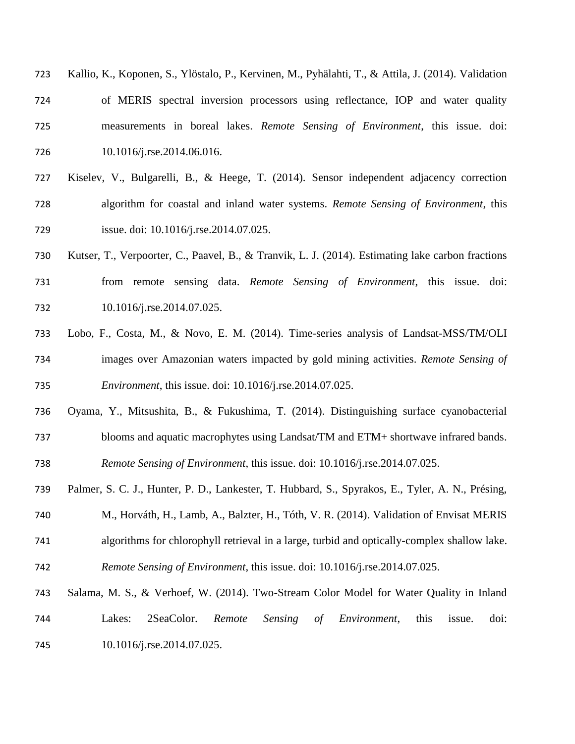| 723 | Kallio, K., Koponen, S., Ylöstalo, P., Kervinen, M., Pyhälahti, T., & Attila, J. (2014). Validation |
|-----|-----------------------------------------------------------------------------------------------------|
| 724 | of MERIS spectral inversion processors using reflectance, IOP and water quality                     |
| 725 | measurements in boreal lakes. Remote Sensing of Environment, this issue. doi:                       |
| 726 | $10.1016$ /j.rse.2014.06.016.                                                                       |

- Kiselev, V., Bulgarelli, B., & Heege, T. (2014). Sensor independent adjacency correction algorithm for coastal and inland water systems. *Remote Sensing of Environment*, this issue. doi: 10.1016/j.rse.2014.07.025.
- Kutser, T., Verpoorter, C., Paavel, B., & Tranvik, L. J. (2014). Estimating lake carbon fractions from remote sensing data. *Remote Sensing of Environment*, this issue. doi: 732 10.1016/j.rse.2014.07.025.
- Lobo, F., Costa, M., & Novo, E. M. (2014). Time-series analysis of Landsat-MSS/TM/OLI images over Amazonian waters impacted by gold mining activities. *Remote Sensing of Environment*, this issue. doi: 10.1016/j.rse.2014.07.025.
- Oyama, Y., Mitsushita, B., & Fukushima, T. (2014). Distinguishing surface cyanobacterial blooms and aquatic macrophytes using Landsat/TM and ETM+ shortwave infrared bands. *Remote Sensing of Environment*, this issue. doi: 10.1016/j.rse.2014.07.025.
- Palmer, S. C. J., Hunter, P. D., Lankester, T. Hubbard, S., Spyrakos, E., Tyler, A. N., Présing, M., Horváth, H., Lamb, A., Balzter, H., Tóth, V. R. (2014). Validation of Envisat MERIS algorithms for chlorophyll retrieval in a large, turbid and optically-complex shallow lake. *Remote Sensing of Environment*, this issue. doi: 10.1016/j.rse.2014.07.025.
- Salama, M. S., & Verhoef, W. (2014). Two-Stream Color Model for Water Quality in Inland Lakes: 2SeaColor. *Remote Sensing of Environment*, this issue. doi: 745 10.1016/j.rse.2014.07.025.